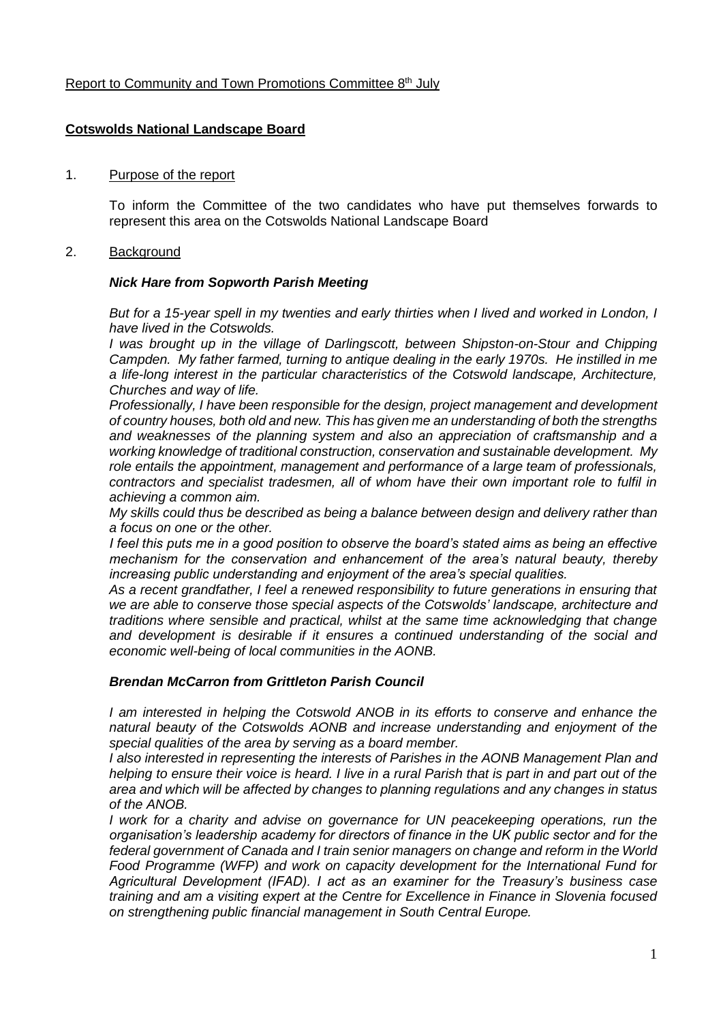## Report to Community and Town Promotions Committee 8<sup>th</sup> July

## **Cotswolds National Landscape Board**

### 1. Purpose of the report

To inform the Committee of the two candidates who have put themselves forwards to represent this area on the Cotswolds National Landscape Board

### 2. Background

#### *Nick Hare from Sopworth Parish Meeting*

*But for a 15-year spell in my twenties and early thirties when I lived and worked in London, I have lived in the Cotswolds.*

*I was brought up in the village of Darlingscott, between Shipston-on-Stour and Chipping Campden. My father farmed, turning to antique dealing in the early 1970s. He instilled in me a life-long interest in the particular characteristics of the Cotswold landscape, Architecture, Churches and way of life.*

*Professionally, I have been responsible for the design, project management and development of country houses, both old and new. This has given me an understanding of both the strengths and weaknesses of the planning system and also an appreciation of craftsmanship and a working knowledge of traditional construction, conservation and sustainable development. My role entails the appointment, management and performance of a large team of professionals, contractors and specialist tradesmen, all of whom have their own important role to fulfil in achieving a common aim.*

*My skills could thus be described as being a balance between design and delivery rather than a focus on one or the other.*

*I feel this puts me in a good position to observe the board's stated aims as being an effective mechanism for the conservation and enhancement of the area's natural beauty, thereby increasing public understanding and enjoyment of the area's special qualities.*

*As a recent grandfather, I feel a renewed responsibility to future generations in ensuring that we are able to conserve those special aspects of the Cotswolds' landscape, architecture and traditions where sensible and practical, whilst at the same time acknowledging that change and development is desirable if it ensures a continued understanding of the social and economic well-being of local communities in the AONB.*

# *Brendan McCarron from Grittleton Parish Council*

*I* am interested in helping the Cotswold ANOB in its efforts to conserve and enhance the *natural beauty of the Cotswolds AONB and increase understanding and enjoyment of the special qualities of the area by serving as a board member.*

*I also interested in representing the interests of Parishes in the AONB Management Plan and helping to ensure their voice is heard. I live in a rural Parish that is part in and part out of the area and which will be affected by changes to planning regulations and any changes in status of the ANOB.*

*I work for a charity and advise on governance for UN peacekeeping operations, run the organisation's leadership academy for directors of finance in the UK public sector and for the federal government of Canada and I train senior managers on change and reform in the World Food Programme (WFP) and work on capacity development for the International Fund for Agricultural Development (IFAD). I act as an examiner for the Treasury's business case training and am a visiting expert at the Centre for Excellence in Finance in Slovenia focused on strengthening public financial management in South Central Europe.*